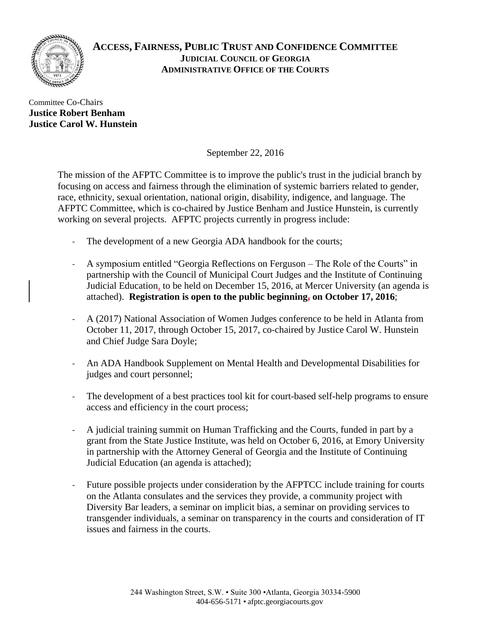

**ACCESS, FAIRNESS, PUBLIC TRUST AND CONFIDENCE COMMITTEE JUDICIAL COUNCIL OF GEORGIA ADMINISTRATIVE OFFICE OF THE COURTS**

Committee Co-Chairs **Justice Robert Benham Justice Carol W. Hunstein**

September 22, 2016

The mission of the AFPTC Committee is to improve the public's trust in the judicial branch by focusing on access and fairness through the elimination of systemic barriers related to gender, race, ethnicity, sexual orientation, national origin, disability, indigence, and language. The AFPTC Committee, which is co-chaired by Justice Benham and Justice Hunstein, is currently working on several projects. AFPTC projects currently in progress include:

- The development of a new Georgia ADA handbook for the courts;
- A symposium entitled "Georgia Reflections on Ferguson The Role of the Courts" in partnership with the Council of Municipal Court Judges and the Institute of Continuing Judicial Education, to be held on December 15, 2016, at Mercer University (an agenda is attached). **Registration is open to the public beginning, on October 17, 2016**;
- A (2017) National Association of Women Judges conference to be held in Atlanta from October 11, 2017, through October 15, 2017, co-chaired by Justice Carol W. Hunstein and Chief Judge Sara Doyle;
- An ADA Handbook Supplement on Mental Health and Developmental Disabilities for judges and court personnel;
- The development of a best practices tool kit for court-based self-help programs to ensure access and efficiency in the court process;
- A judicial training summit on Human Trafficking and the Courts, funded in part by a grant from the State Justice Institute, was held on October 6, 2016, at Emory University in partnership with the Attorney General of Georgia and the Institute of Continuing Judicial Education (an agenda is attached);
- Future possible projects under consideration by the AFPTCC include training for courts on the Atlanta consulates and the services they provide, a community project with Diversity Bar leaders, a seminar on implicit bias, a seminar on providing services to transgender individuals, a seminar on transparency in the courts and consideration of IT issues and fairness in the courts.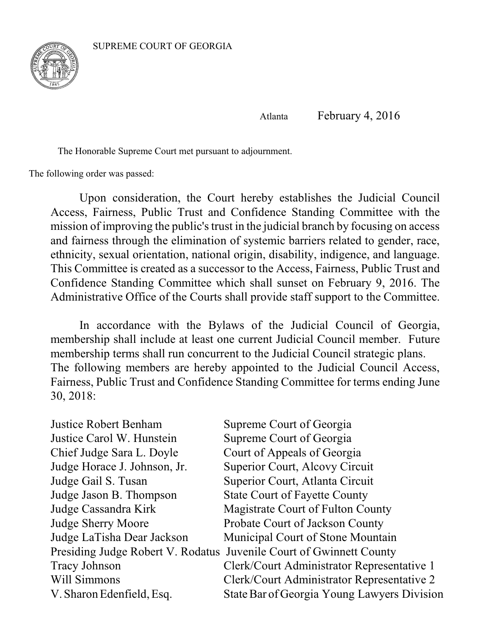

Atlanta February 4, 2016

The Honorable Supreme Court met pursuant to adjournment.

The following order was passed:

Upon consideration, the Court hereby establishes the Judicial Council Access, Fairness, Public Trust and Confidence Standing Committee with the mission of improving the public's trust in the judicial branch by focusing on access and fairness through the elimination of systemic barriers related to gender, race, ethnicity, sexual orientation, national origin, disability, indigence, and language. This Committee is created as a successor to the Access, Fairness, Public Trust and Confidence Standing Committee which shall sunset on February 9, 2016. The Administrative Office of the Courts shall provide staff support to the Committee.

In accordance with the Bylaws of the Judicial Council of Georgia, membership shall include at least one current Judicial Council member. Future membership terms shall run concurrent to the Judicial Council strategic plans. The following members are hereby appointed to the Judicial Council Access, Fairness, Public Trust and Confidence Standing Committee for terms ending June 30, 2018:

| <b>Justice Robert Benham</b> | Supreme Court of Georgia                                            |
|------------------------------|---------------------------------------------------------------------|
| Justice Carol W. Hunstein    | Supreme Court of Georgia                                            |
| Chief Judge Sara L. Doyle    | Court of Appeals of Georgia                                         |
| Judge Horace J. Johnson, Jr. | Superior Court, Alcovy Circuit                                      |
| Judge Gail S. Tusan          | Superior Court, Atlanta Circuit                                     |
| Judge Jason B. Thompson      | <b>State Court of Fayette County</b>                                |
| Judge Cassandra Kirk         | Magistrate Court of Fulton County                                   |
| <b>Judge Sherry Moore</b>    | Probate Court of Jackson County                                     |
| Judge LaTisha Dear Jackson   | <b>Municipal Court of Stone Mountain</b>                            |
|                              | Presiding Judge Robert V. Rodatus Juvenile Court of Gwinnett County |
| <b>Tracy Johnson</b>         | Clerk/Court Administrator Representative 1                          |
| Will Simmons                 | Clerk/Court Administrator Representative 2                          |
| V. Sharon Edenfield, Esq.    | State Bar of Georgia Young Lawyers Division                         |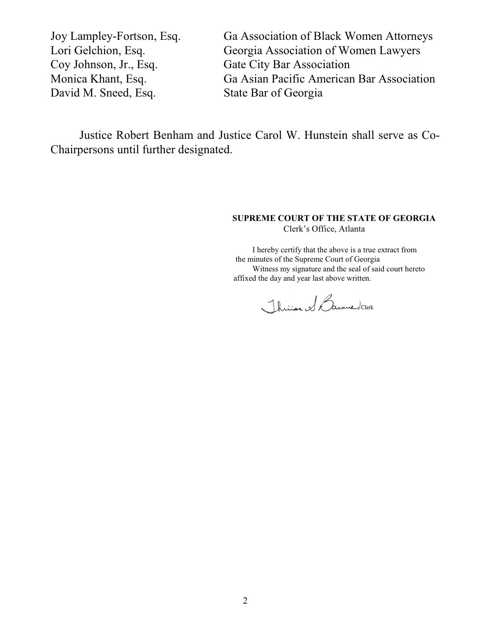Coy Johnson, Jr., Esq. Gate City Bar Association David M. Sneed, Esq. State Bar of Georgia

Joy Lampley-Fortson, Esq. Ga Association of Black Women Attorneys Lori Gelchion, Esq. Georgia Association of Women Lawyers Monica Khant, Esq. Ga Asian Pacific American Bar Association

Justice Robert Benham and Justice Carol W. Hunstein shall serve as Co-Chairpersons until further designated.

#### **SUPREME COURT OF THE STATE OF GEORGIA** Clerk's Office, Atlanta

 I hereby certify that the above is a true extract from the minutes of the Supreme Court of Georgia Witness my signature and the seal of said court hereto affixed the day and year last above written.

Thrise & Bunne Clerk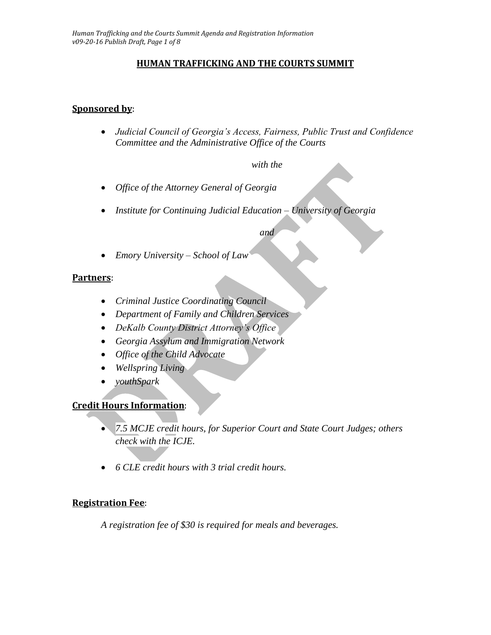### **HUMAN TRAFFICKING AND THE COURTS SUMMIT**

# **Sponsored by**:

 *Judicial Council of Georgia's Access, Fairness, Public Trust and Confidence Committee and the Administrative Office of the Courts*

#### *with the*

- *Office of the Attorney General of Georgia*
- *Institute for Continuing Judicial Education – University of Georgia*

# *and*

*Emory University – School of Law*

## **Partners**:

- *Criminal Justice Coordinating Council*
- *Department of Family and Children Services*
- *DeKalb County District Attorney's Office*
- *Georgia Assylum and Immigration Network*
- *Office of the Child Advocate*
- *Wellspring Living*
- *youthSpark*

### **Credit Hours Information**:

- *7.5 MCJE credit hours, for Superior Court and State Court Judges; others check with the ICJE.*
- *6 CLE credit hours with 3 trial credit hours.*

### **Registration Fee**:

*A registration fee of \$30 is required for meals and beverages.*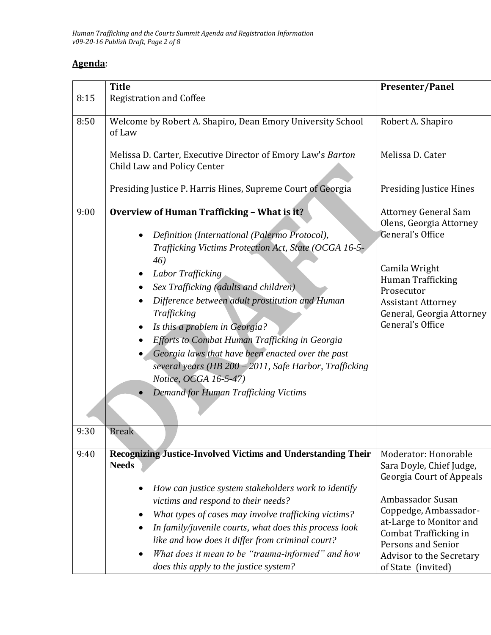# **Agenda**:

|      | <b>Title</b>                                                                                                                                                                                                                                                                                                                                                                                            | Presenter/Panel                                                                                                                                                       |  |  |
|------|---------------------------------------------------------------------------------------------------------------------------------------------------------------------------------------------------------------------------------------------------------------------------------------------------------------------------------------------------------------------------------------------------------|-----------------------------------------------------------------------------------------------------------------------------------------------------------------------|--|--|
| 8:15 | <b>Registration and Coffee</b>                                                                                                                                                                                                                                                                                                                                                                          |                                                                                                                                                                       |  |  |
| 8:50 | Welcome by Robert A. Shapiro, Dean Emory University School<br>of Law                                                                                                                                                                                                                                                                                                                                    | Robert A. Shapiro                                                                                                                                                     |  |  |
|      | Melissa D. Carter, Executive Director of Emory Law's Barton<br>Child Law and Policy Center                                                                                                                                                                                                                                                                                                              | Melissa D. Cater                                                                                                                                                      |  |  |
|      | Presiding Justice P. Harris Hines, Supreme Court of Georgia                                                                                                                                                                                                                                                                                                                                             | <b>Presiding Justice Hines</b>                                                                                                                                        |  |  |
| 9:00 | Overview of Human Trafficking - What is it?                                                                                                                                                                                                                                                                                                                                                             | <b>Attorney General Sam</b><br>Olens, Georgia Attorney                                                                                                                |  |  |
|      | Definition (International (Palermo Protocol),<br>Trafficking Victims Protection Act, State (OCGA 16-5-                                                                                                                                                                                                                                                                                                  | General's Office                                                                                                                                                      |  |  |
|      | 46)<br>Labor Trafficking<br>Sex Trafficking (adults and children).                                                                                                                                                                                                                                                                                                                                      | Camila Wright<br>Human Trafficking                                                                                                                                    |  |  |
|      | Difference between adult prostitution and Human<br>Trafficking<br>Is this a problem in Georgia?<br>$\bullet$                                                                                                                                                                                                                                                                                            | Prosecutor<br><b>Assistant Attorney</b><br>General, Georgia Attorney<br>General's Office                                                                              |  |  |
|      | Efforts to Combat Human Trafficking in Georgia<br>Georgia laws that have been enacted over the past                                                                                                                                                                                                                                                                                                     |                                                                                                                                                                       |  |  |
|      | several years (HB 200 - 2011, Safe Harbor, Trafficking<br>Notice, OCGA 16-5-47)                                                                                                                                                                                                                                                                                                                         |                                                                                                                                                                       |  |  |
|      | Demand for Human Trafficking Victims                                                                                                                                                                                                                                                                                                                                                                    |                                                                                                                                                                       |  |  |
|      |                                                                                                                                                                                                                                                                                                                                                                                                         |                                                                                                                                                                       |  |  |
| 9:30 | <b>Break</b>                                                                                                                                                                                                                                                                                                                                                                                            |                                                                                                                                                                       |  |  |
| 9:40 | Recognizing Justice-Involved Victims and Understanding Their<br><b>Needs</b>                                                                                                                                                                                                                                                                                                                            | Moderator: Honorable<br>Sara Doyle, Chief Judge,<br><b>Georgia Court of Appeals</b>                                                                                   |  |  |
|      | How can justice system stakeholders work to identify<br>victims and respond to their needs?<br>What types of cases may involve trafficking victims?<br>$\bullet$<br>In family/juvenile courts, what does this process look<br>$\bullet$<br>like and how does it differ from criminal court?<br>What does it mean to be "trauma-informed" and how<br>$\bullet$<br>does this apply to the justice system? | Ambassador Susan<br>Coppedge, Ambassador-<br>at-Large to Monitor and<br>Combat Trafficking in<br>Persons and Senior<br>Advisor to the Secretary<br>of State (invited) |  |  |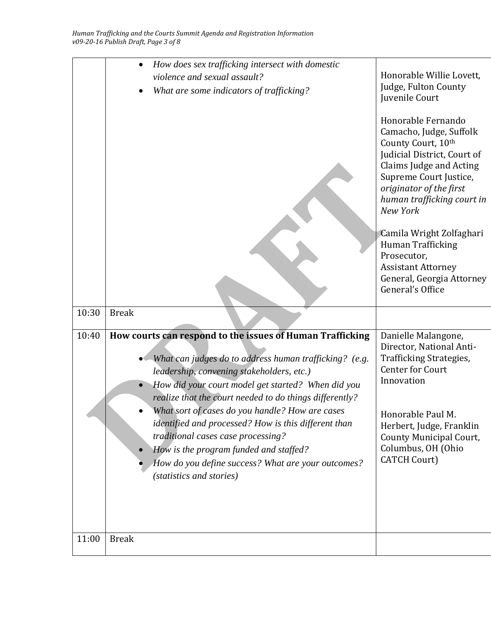|       | How does sex trafficking intersect with domestic<br>$\bullet$<br>violence and sexual assault?<br>What are some indicators of trafficking?                                                                                                                                                                                                                                                                                                                                                                                                                                                | Honorable Willie Lovett,<br>Judge, Fulton County<br>Juvenile Court<br>Honorable Fernando<br>Camacho, Judge, Suffolk<br>County Court, 10th<br>Judicial District, Court of<br>Claims Judge and Acting<br>Supreme Court Justice,<br>originator of the first<br>human trafficking court in<br>New York |
|-------|------------------------------------------------------------------------------------------------------------------------------------------------------------------------------------------------------------------------------------------------------------------------------------------------------------------------------------------------------------------------------------------------------------------------------------------------------------------------------------------------------------------------------------------------------------------------------------------|----------------------------------------------------------------------------------------------------------------------------------------------------------------------------------------------------------------------------------------------------------------------------------------------------|
|       |                                                                                                                                                                                                                                                                                                                                                                                                                                                                                                                                                                                          | Camila Wright Zolfaghari<br>Human Trafficking<br>Prosecutor,<br><b>Assistant Attorney</b><br>General, Georgia Attorney<br>General's Office                                                                                                                                                         |
| 10:30 | <b>Break</b>                                                                                                                                                                                                                                                                                                                                                                                                                                                                                                                                                                             |                                                                                                                                                                                                                                                                                                    |
| 10:40 | How courts can respond to the issues of Human Trafficking<br>What can judges do to address human trafficking? (e.g.<br>leadership, convening stakeholders, etc.)<br>How did your court model get started? When did you<br>$\bullet$<br>realize that the court needed to do things differently?<br>What sort of cases do you handle? How are cases<br>identified and processed? How is this different than<br>traditional cases case processing?<br>How is the program funded and staffed?<br>$\bullet$<br>How do you define success? What are your outcomes?<br>(statistics and stories) | Danielle Malangone,<br>Director, National Anti-<br>Trafficking Strategies,<br><b>Center for Court</b><br>Innovation<br>Honorable Paul M.<br>Herbert, Judge, Franklin<br>County Municipal Court,<br>Columbus, OH (Ohio<br><b>CATCH Court)</b>                                                       |
| 11:00 | <b>Break</b>                                                                                                                                                                                                                                                                                                                                                                                                                                                                                                                                                                             |                                                                                                                                                                                                                                                                                                    |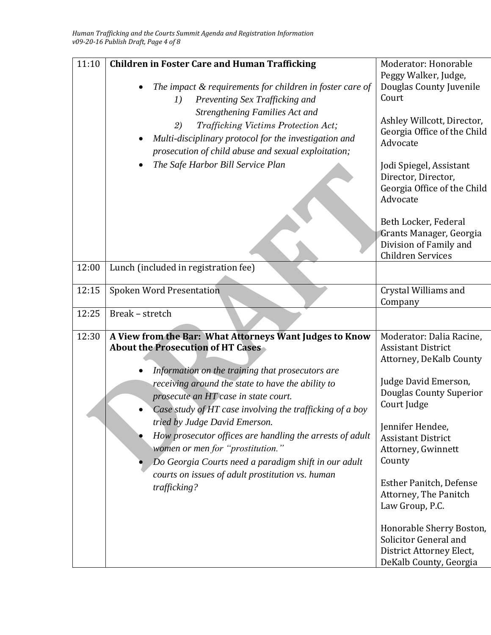| 11:10 | <b>Children in Foster Care and Human Trafficking</b><br>The impact & requirements for children in foster care of<br>Preventing Sex Trafficking and<br>1)<br>Strengthening Families Act and<br>Trafficking Victims Protection Act;<br>2)<br>Multi-disciplinary protocol for the investigation and<br>prosecution of child abuse and sexual exploitation;<br>The Safe Harbor Bill Service Plan                                                                                                                                                                           | Moderator: Honorable<br>Peggy Walker, Judge,<br>Douglas County Juvenile<br>Court<br>Ashley Willcott, Director,<br>Georgia Office of the Child<br>Advocate<br>Jodi Spiegel, Assistant<br>Director, Director,<br>Georgia Office of the Child<br>Advocate                                                                                                                                                                       |
|-------|------------------------------------------------------------------------------------------------------------------------------------------------------------------------------------------------------------------------------------------------------------------------------------------------------------------------------------------------------------------------------------------------------------------------------------------------------------------------------------------------------------------------------------------------------------------------|------------------------------------------------------------------------------------------------------------------------------------------------------------------------------------------------------------------------------------------------------------------------------------------------------------------------------------------------------------------------------------------------------------------------------|
|       |                                                                                                                                                                                                                                                                                                                                                                                                                                                                                                                                                                        | Beth Locker, Federal<br>Grants Manager, Georgia<br>Division of Family and<br>Children Services                                                                                                                                                                                                                                                                                                                               |
| 12:00 | Lunch (included in registration fee)                                                                                                                                                                                                                                                                                                                                                                                                                                                                                                                                   |                                                                                                                                                                                                                                                                                                                                                                                                                              |
| 12:15 | Spoken Word Presentation                                                                                                                                                                                                                                                                                                                                                                                                                                                                                                                                               | Crystal Williams and<br>Company                                                                                                                                                                                                                                                                                                                                                                                              |
| 12:25 | Break - stretch                                                                                                                                                                                                                                                                                                                                                                                                                                                                                                                                                        |                                                                                                                                                                                                                                                                                                                                                                                                                              |
| 12:30 | A View from the Bar: What Attorneys Want Judges to Know<br>About the Prosecution of HT Cases<br>Information on the training that prosecutors are<br>receiving around the state to have the ability to<br>prosecute an HT case in state court.<br>Case study of HT case involving the trafficking of a boy<br>tried by Judge David Emerson.<br>How prosecutor offices are handling the arrests of adult<br>women or men for "prostitution."<br>Do Georgia Courts need a paradigm shift in our adult<br>courts on issues of adult prostitution vs. human<br>trafficking? | Moderator: Dalia Racine,<br><b>Assistant District</b><br>Attorney, DeKalb County<br>Judge David Emerson,<br><b>Douglas County Superior</b><br>Court Judge<br>Jennifer Hendee,<br><b>Assistant District</b><br>Attorney, Gwinnett<br>County<br>Esther Panitch, Defense<br>Attorney, The Panitch<br>Law Group, P.C.<br>Honorable Sherry Boston,<br>Solicitor General and<br>District Attorney Elect,<br>DeKalb County, Georgia |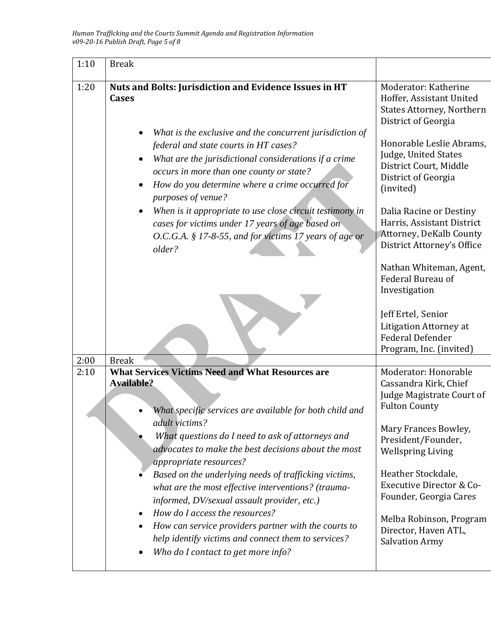| 1:10         | <b>Break</b>                                                                                                                                                                                                                                                                                                                                                                                                                                                                                                                                                                                                                                                          |                                                                                                                                                                                                                                                                                                                                                                                                                                                                                                           |
|--------------|-----------------------------------------------------------------------------------------------------------------------------------------------------------------------------------------------------------------------------------------------------------------------------------------------------------------------------------------------------------------------------------------------------------------------------------------------------------------------------------------------------------------------------------------------------------------------------------------------------------------------------------------------------------------------|-----------------------------------------------------------------------------------------------------------------------------------------------------------------------------------------------------------------------------------------------------------------------------------------------------------------------------------------------------------------------------------------------------------------------------------------------------------------------------------------------------------|
| 1:20         | Nuts and Bolts: Jurisdiction and Evidence Issues in HT<br><b>Cases</b><br>What is the exclusive and the concurrent jurisdiction of<br>federal and state courts in HT cases?<br>What are the jurisdictional considerations if a crime<br>occurs in more than one county or state?<br>How do you determine where a crime occurred for<br>purposes of venue?<br>When is it appropriate to use close circuit testimony in<br>cases for victims under 17 years of age based on<br>O.C.G.A. § 17-8-55, and for victims 17 years of age or<br>older?                                                                                                                         | Moderator: Katherine<br>Hoffer, Assistant United<br><b>States Attorney, Northern</b><br>District of Georgia<br>Honorable Leslie Abrams,<br>Judge, United States<br>District Court, Middle<br>District of Georgia<br>(invited)<br>Dalia Racine or Destiny<br>Harris, Assistant District<br><b>Attorney, DeKalb County</b><br>District Attorney's Office<br>Nathan Whiteman, Agent,<br>Federal Bureau of<br>Investigation<br>Jeff Ertel, Senior<br><b>Litigation Attorney at</b><br><b>Federal Defender</b> |
|              |                                                                                                                                                                                                                                                                                                                                                                                                                                                                                                                                                                                                                                                                       | Program, Inc. (invited)                                                                                                                                                                                                                                                                                                                                                                                                                                                                                   |
| 2:00<br>2:10 | <b>Break</b><br><b>What Services Victims Need and What Resources are</b><br><b>Available?</b><br>What specific services are available for both child and<br>adult victims?<br>What questions do I need to ask of attorneys and<br>advocates to make the best decisions about the most<br>appropriate resources?<br>Based on the underlying needs of trafficking victims,<br>what are the most effective interventions? (trauma-<br>informed, DV/sexual assault provider, etc.)<br>How do I access the resources?<br>How can service providers partner with the courts to<br>help identify victims and connect them to services?<br>Who do I contact to get more info? | Moderator: Honorable<br>Cassandra Kirk, Chief<br>Judge Magistrate Court of<br><b>Fulton County</b><br>Mary Frances Bowley,<br>President/Founder,<br><b>Wellspring Living</b><br>Heather Stockdale,<br>Executive Director & Co-<br>Founder, Georgia Cares<br>Melba Robinson, Program<br>Director, Haven ATL,<br><b>Salvation Army</b>                                                                                                                                                                      |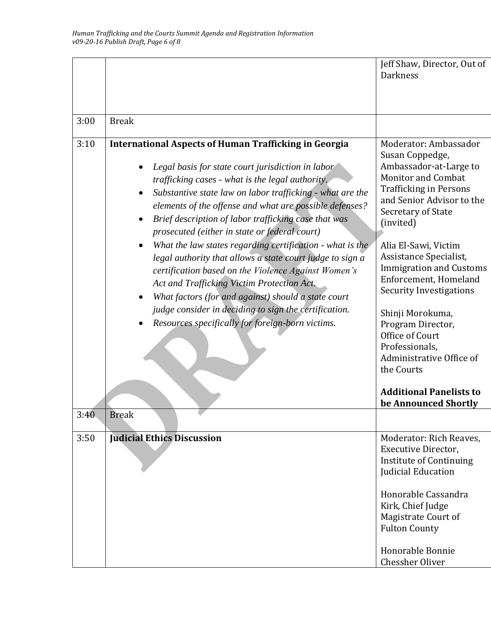|      |                                                                                                                                                                                                                                                                                                                                                                                                                                                                                                                                                                                                                                                                                                                                                                                                                                                               | Jeff Shaw, Director, Out of<br><b>Darkness</b>                                                                                                                                                                                                                                                                                                                                                                                                                          |
|------|---------------------------------------------------------------------------------------------------------------------------------------------------------------------------------------------------------------------------------------------------------------------------------------------------------------------------------------------------------------------------------------------------------------------------------------------------------------------------------------------------------------------------------------------------------------------------------------------------------------------------------------------------------------------------------------------------------------------------------------------------------------------------------------------------------------------------------------------------------------|-------------------------------------------------------------------------------------------------------------------------------------------------------------------------------------------------------------------------------------------------------------------------------------------------------------------------------------------------------------------------------------------------------------------------------------------------------------------------|
|      |                                                                                                                                                                                                                                                                                                                                                                                                                                                                                                                                                                                                                                                                                                                                                                                                                                                               |                                                                                                                                                                                                                                                                                                                                                                                                                                                                         |
|      |                                                                                                                                                                                                                                                                                                                                                                                                                                                                                                                                                                                                                                                                                                                                                                                                                                                               |                                                                                                                                                                                                                                                                                                                                                                                                                                                                         |
| 3:00 | <b>Break</b>                                                                                                                                                                                                                                                                                                                                                                                                                                                                                                                                                                                                                                                                                                                                                                                                                                                  |                                                                                                                                                                                                                                                                                                                                                                                                                                                                         |
| 3:10 | <b>International Aspects of Human Trafficking in Georgia</b><br>Legal basis for state court jurisdiction in labor<br>$\bullet$<br>trafficking cases - what is the legal authority.<br>Substantive state law on labor trafficking - what are the<br>$\bullet$<br>elements of the offense and what are possible defenses?<br>Brief description of labor trafficking case that was<br>$\bullet$<br>prosecuted (either in state or federal court)<br>What the law states regarding certification - what is the<br>legal authority that allows a state court judge to sign a<br>certification based on the Violence Against Women's<br>Act and Trafficking Victim Protection Act.<br>What factors (for and against) should a state court<br>$\bullet$<br>judge consider in deciding to sign the certification.<br>Resources specifically for foreign-born victims. | Moderator: Ambassador<br>Susan Coppedge,<br>Ambassador-at-Large to<br><b>Monitor and Combat</b><br><b>Trafficking in Persons</b><br>and Senior Advisor to the<br>Secretary of State<br>(invited)<br>Alia El-Sawi, Victim<br>Assistance Specialist,<br><b>Immigration and Customs</b><br>Enforcement, Homeland<br><b>Security Investigations</b><br>Shinji Morokuma,<br>Program Director,<br>Office of Court<br>Professionals,<br>Administrative Office of<br>the Courts |
|      |                                                                                                                                                                                                                                                                                                                                                                                                                                                                                                                                                                                                                                                                                                                                                                                                                                                               | <b>Additional Panelists to</b><br>be Announced Shortly                                                                                                                                                                                                                                                                                                                                                                                                                  |
| 3:40 | <b>Break</b>                                                                                                                                                                                                                                                                                                                                                                                                                                                                                                                                                                                                                                                                                                                                                                                                                                                  |                                                                                                                                                                                                                                                                                                                                                                                                                                                                         |
| 3:50 | <b>Judicial Ethics Discussion</b>                                                                                                                                                                                                                                                                                                                                                                                                                                                                                                                                                                                                                                                                                                                                                                                                                             | Moderator: Rich Reaves,<br>Executive Director,<br>Institute of Continuing<br>Judicial Education<br>Honorable Cassandra<br>Kirk, Chief Judge<br>Magistrate Court of<br><b>Fulton County</b><br>Honorable Bonnie                                                                                                                                                                                                                                                          |
|      |                                                                                                                                                                                                                                                                                                                                                                                                                                                                                                                                                                                                                                                                                                                                                                                                                                                               | <b>Chessher Oliver</b>                                                                                                                                                                                                                                                                                                                                                                                                                                                  |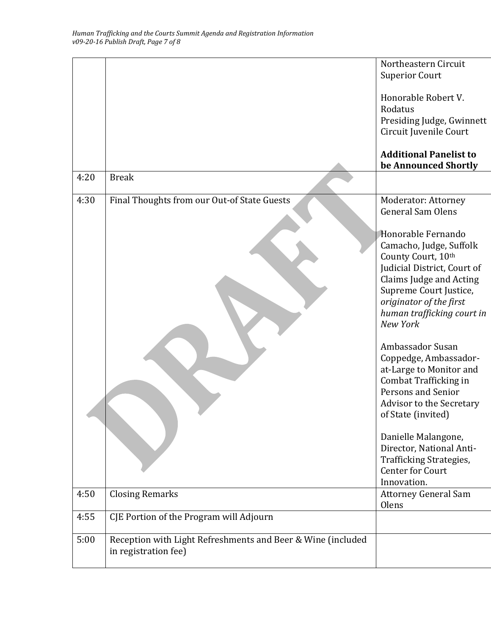|      |                                                                                     | Northeastern Circuit<br><b>Superior Court</b>                                                                                                                                                                                |
|------|-------------------------------------------------------------------------------------|------------------------------------------------------------------------------------------------------------------------------------------------------------------------------------------------------------------------------|
|      |                                                                                     | Honorable Robert V.<br>Rodatus<br>Presiding Judge, Gwinnett<br>Circuit Juvenile Court                                                                                                                                        |
|      |                                                                                     | <b>Additional Panelist to</b><br>be Announced Shortly                                                                                                                                                                        |
| 4:20 | <b>Break</b>                                                                        |                                                                                                                                                                                                                              |
| 4:30 | Final Thoughts from our Out-of State Guests                                         | Moderator: Attorney<br><b>General Sam Olens</b>                                                                                                                                                                              |
|      |                                                                                     | Honorable Fernando<br>Camacho, Judge, Suffolk<br>County Court, 10th<br>Judicial District, Court of<br>Claims Judge and Acting<br>Supreme Court Justice,<br>originator of the first<br>human trafficking court in<br>New York |
|      |                                                                                     | Ambassador Susan<br>Coppedge, Ambassador-<br>at-Large to Monitor and<br>Combat Trafficking in<br>Persons and Senior<br>Advisor to the Secretary<br>of State (invited)<br>Danielle Malangone,<br>Director, National Anti-     |
|      |                                                                                     | Trafficking Strategies,<br><b>Center for Court</b><br>Innovation.                                                                                                                                                            |
| 4:50 | <b>Closing Remarks</b>                                                              | <b>Attorney General Sam</b><br>Olens                                                                                                                                                                                         |
| 4:55 | CJE Portion of the Program will Adjourn                                             |                                                                                                                                                                                                                              |
| 5:00 | Reception with Light Refreshments and Beer & Wine (included<br>in registration fee) |                                                                                                                                                                                                                              |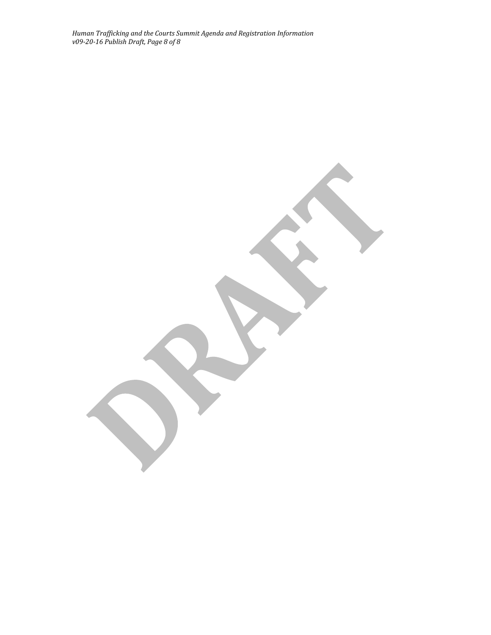*Human Trafficking and the Courts Summit Agenda and Registration Information v09-20-16 Publish Draft, Page 8 of 8*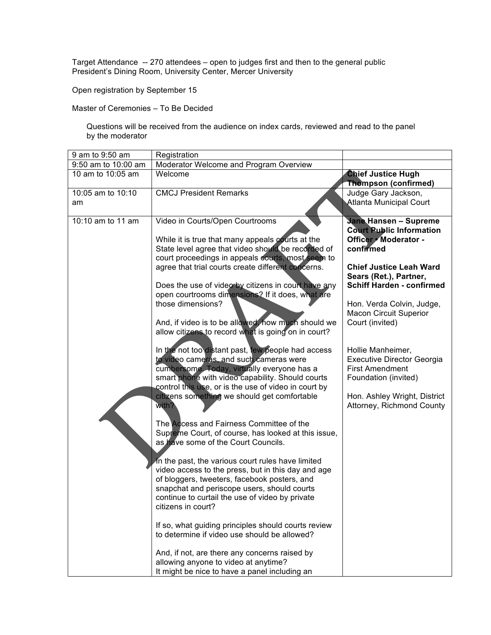Target Attendance -- 270 attendees – open to judges first and then to the general public President's Dining Room, University Center, Mercer University

Open registration by September 15

Master of Ceremonies – To Be Decided

Questions will be received from the audience on index cards, reviewed and read to the panel by the moderator

| 9 am to 9:50 am         | Registration                                                                                                                                                                                                                                                                    |                                                                                                          |
|-------------------------|---------------------------------------------------------------------------------------------------------------------------------------------------------------------------------------------------------------------------------------------------------------------------------|----------------------------------------------------------------------------------------------------------|
| 9:50 am to 10:00 am     | Moderator Welcome and Program Overview                                                                                                                                                                                                                                          |                                                                                                          |
| 10 am to 10:05 am       | Welcome                                                                                                                                                                                                                                                                         | <b>Chief Justice Hugh</b><br><b>Thompson (confirmed)</b>                                                 |
| 10:05 am to 10:10<br>am | <b>CMCJ President Remarks</b>                                                                                                                                                                                                                                                   | Judge Gary Jackson,<br><b>Atlanta Municipal Court</b>                                                    |
| 10:10 am to 11 am       | Video in Courts/Open Courtrooms<br>While it is true that many appeals courts at the<br>State level agree that video should be recorded of<br>court proceedings in appeals courts, most seem to                                                                                  | Jane Hansen - Supreme<br><b>Court Public Information</b><br>Officer • Moderator -<br>confirmed           |
|                         | agree that trial courts create different concerns.<br>Does the use of video by citizens in court have any                                                                                                                                                                       | <b>Chief Justice Leah Ward</b><br>Sears (Ret.), Partner,<br><b>Schiff Harden - confirmed</b>             |
|                         | open courtrooms dimensions? If it does, what are<br>those dimensions?                                                                                                                                                                                                           | Hon. Verda Colvin, Judge,                                                                                |
|                         | And, if video is to be allowed, how much should we<br>allow citizens to record what is going on in court?                                                                                                                                                                       | <b>Macon Circuit Superior</b><br>Court (invited)                                                         |
|                         | In the not too distant past, few people had access<br>to video cameras, and such cameras were<br>cumbersome. Today, virtually everyone has a<br>smart phone with video capability. Should courts<br>control this use, or is the use of video in court by                        | Hollie Manheimer,<br><b>Executive Director Georgia</b><br><b>First Amendment</b><br>Foundation (invited) |
|                         | citizens something we should get comfortable<br>with?                                                                                                                                                                                                                           | Hon. Ashley Wright, District<br>Attorney, Richmond County                                                |
|                         | The Access and Fairness Committee of the<br>Supreme Court, of course, has looked at this issue,<br>as have some of the Court Councils.                                                                                                                                          |                                                                                                          |
|                         | In the past, the various court rules have limited<br>video access to the press, but in this day and age<br>of bloggers, tweeters, facebook posters, and<br>snapchat and periscope users, should courts<br>continue to curtail the use of video by private<br>citizens in court? |                                                                                                          |
|                         | If so, what guiding principles should courts review<br>to determine if video use should be allowed?                                                                                                                                                                             |                                                                                                          |
|                         | And, if not, are there any concerns raised by<br>allowing anyone to video at anytime?<br>It might be nice to have a panel including an                                                                                                                                          |                                                                                                          |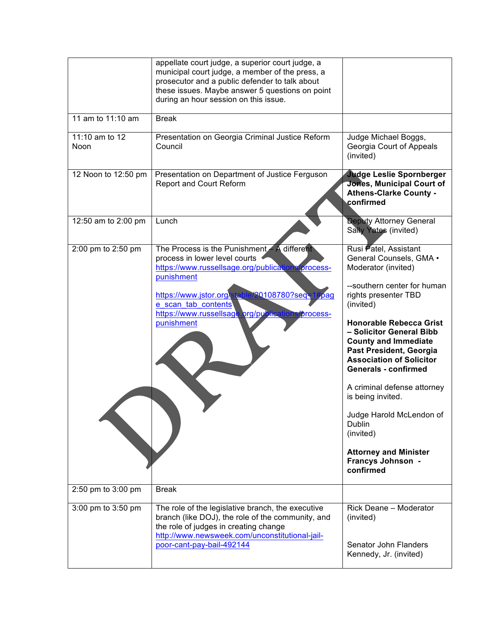|                        | appellate court judge, a superior court judge, a<br>municipal court judge, a member of the press, a<br>prosecutor and a public defender to talk about<br>these issues. Maybe answer 5 questions on point<br>during an hour session on this issue.                                                   |                                                                                                                                                                                                                                                                                                                                                                                                                                                                                                                 |
|------------------------|-----------------------------------------------------------------------------------------------------------------------------------------------------------------------------------------------------------------------------------------------------------------------------------------------------|-----------------------------------------------------------------------------------------------------------------------------------------------------------------------------------------------------------------------------------------------------------------------------------------------------------------------------------------------------------------------------------------------------------------------------------------------------------------------------------------------------------------|
| 11 am to 11:10 am      | <b>Break</b>                                                                                                                                                                                                                                                                                        |                                                                                                                                                                                                                                                                                                                                                                                                                                                                                                                 |
| 11:10 am to 12<br>Noon | Presentation on Georgia Criminal Justice Reform<br>Council                                                                                                                                                                                                                                          | Judge Michael Boggs,<br>Georgia Court of Appeals<br>(invited)                                                                                                                                                                                                                                                                                                                                                                                                                                                   |
| 12 Noon to 12:50 pm    | Presentation on Department of Justice Ferguson<br>Report and Court Reform                                                                                                                                                                                                                           | <b>Judge Leslie Spornberger</b><br>Jones, Municipal Court of<br><b>Athens-Clarke County -</b><br>confirmed                                                                                                                                                                                                                                                                                                                                                                                                      |
| 12:50 am to 2:00 pm    | Lunch                                                                                                                                                                                                                                                                                               | <b>Deputy Attorney General</b><br>Sally Yates (invited)                                                                                                                                                                                                                                                                                                                                                                                                                                                         |
| $2:00$ pm to 2:50 pm   | The Process is the Punishment A different<br>process in lower level courts<br>https://www.russellsage.org/publicati<br>process-<br>punishment<br>e/20108780?seq<br>https://www.jstor.org/stal<br>pag<br>e scan tab contents<br>https://www.russellsage.org/publisa<br><b>process-</b><br>punishment | Rusi Patel, Assistant<br>General Counsels, GMA .<br>Moderator (invited)<br>--southern center for human<br>rights presenter TBD<br>(invited)<br><b>Honorable Rebecca Grist</b><br>- Solicitor General Bibb<br><b>County and Immediate</b><br>Past President, Georgia<br><b>Association of Solicitor</b><br><b>Generals - confirmed</b><br>A criminal defense attorney<br>is being invited.<br>Judge Harold McLendon of<br><b>Dublin</b><br>(invited)<br><b>Attorney and Minister</b><br><b>Francys Johnson -</b> |
| 2:50 pm to 3:00 pm     | <b>Break</b>                                                                                                                                                                                                                                                                                        | confirmed                                                                                                                                                                                                                                                                                                                                                                                                                                                                                                       |
| 3:00 pm to 3:50 pm     | The role of the legislative branch, the executive<br>branch (like DOJ), the role of the community, and<br>the role of judges in creating change<br>http://www.newsweek.com/unconstitutional-jail-<br>poor-cant-pay-bail-492144                                                                      | Rick Deane - Moderator<br>(invited)<br>Senator John Flanders<br>Kennedy, Jr. (invited)                                                                                                                                                                                                                                                                                                                                                                                                                          |